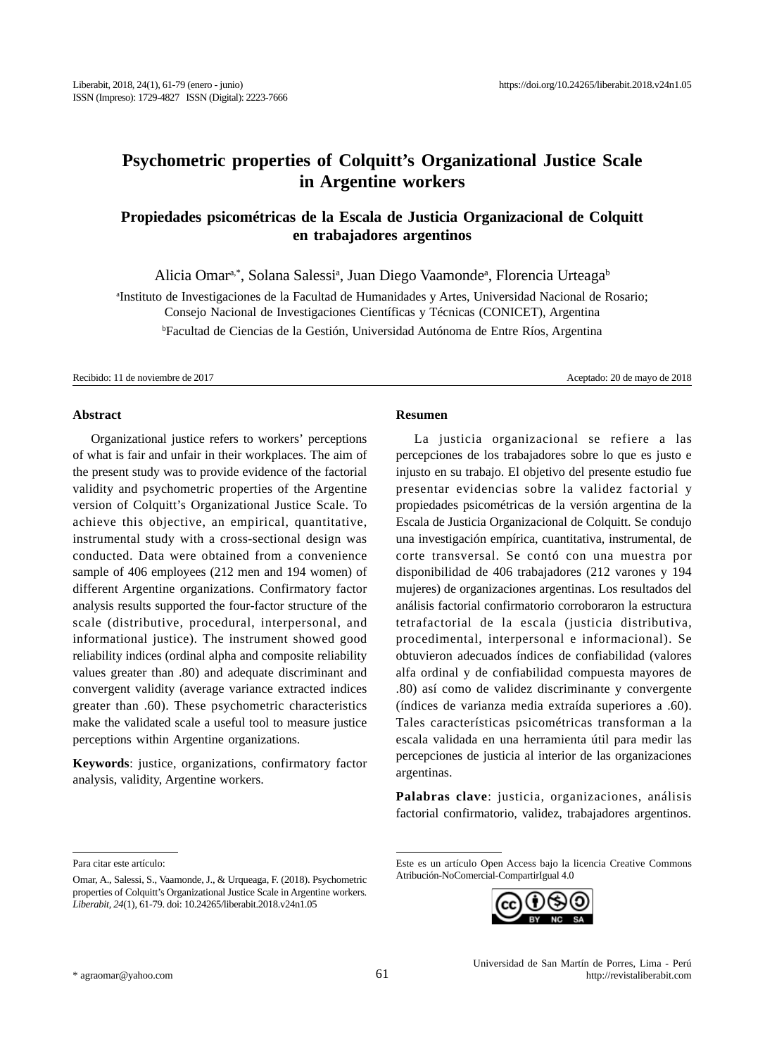# **Psychometric properties of Colquitt's Organizational Justice Scale in Argentine workers**

# **Propiedades psicométricas de la Escala de Justicia Organizacional de Colquitt en trabajadores argentinos**

Alicia Omarª,\*, Solana Salessiª, Juan Diego Vaamondeª, Florencia Urteaga<sup>b</sup>

a Instituto de Investigaciones de la Facultad de Humanidades y Artes, Universidad Nacional de Rosario; Consejo Nacional de Investigaciones Científicas y Técnicas (CONICET), Argentina b Facultad de Ciencias de la Gestión, Universidad Autónoma de Entre Ríos, Argentina

Recibido: 11 de noviembre de 2017 Aceptado: 20 de mayo de 2018

#### **Abstract**

Organizational justice refers to workers' perceptions of what is fair and unfair in their workplaces. The aim of the present study was to provide evidence of the factorial validity and psychometric properties of the Argentine version of Colquitt's Organizational Justice Scale. To achieve this objective, an empirical, quantitative, instrumental study with a cross-sectional design was conducted. Data were obtained from a convenience sample of 406 employees (212 men and 194 women) of different Argentine organizations. Confirmatory factor analysis results supported the four-factor structure of the scale (distributive, procedural, interpersonal, and informational justice). The instrument showed good reliability indices (ordinal alpha and composite reliability values greater than .80) and adequate discriminant and convergent validity (average variance extracted indices greater than .60). These psychometric characteristics make the validated scale a useful tool to measure justice perceptions within Argentine organizations.

**Keywords**: justice, organizations, confirmatory factor analysis, validity, Argentine workers.

### **Resumen**

La justicia organizacional se refiere a las percepciones de los trabajadores sobre lo que es justo e injusto en su trabajo. El objetivo del presente estudio fue presentar evidencias sobre la validez factorial y propiedades psicométricas de la versión argentina de la Escala de Justicia Organizacional de Colquitt. Se condujo una investigación empírica, cuantitativa, instrumental, de corte transversal. Se contó con una muestra por disponibilidad de 406 trabajadores (212 varones y 194 mujeres) de organizaciones argentinas. Los resultados del análisis factorial confirmatorio corroboraron la estructura tetrafactorial de la escala (justicia distributiva, procedimental, interpersonal e informacional). Se obtuvieron adecuados índices de confiabilidad (valores alfa ordinal y de confiabilidad compuesta mayores de .80) así como de validez discriminante y convergente (índices de varianza media extraída superiores a .60). Tales características psicométricas transforman a la escala validada en una herramienta útil para medir las percepciones de justicia al interior de las organizaciones argentinas.

**Palabras clave**: justicia, organizaciones, análisis factorial confirmatorio, validez, trabajadores argentinos.

Este es un artículo Open Access bajo la licencia Creative Commons Atribución-NoComercial-CompartirIgual 4.0



Para citar este artículo:

Omar, A., Salessi, S., Vaamonde, J., & Urqueaga, F. (2018). Psychometric properties of Colquitt's Organizational Justice Scale in Argentine workers. *Liberabit, 24*(1), 61-79. doi: 10.24265/liberabit.2018.v24n1.05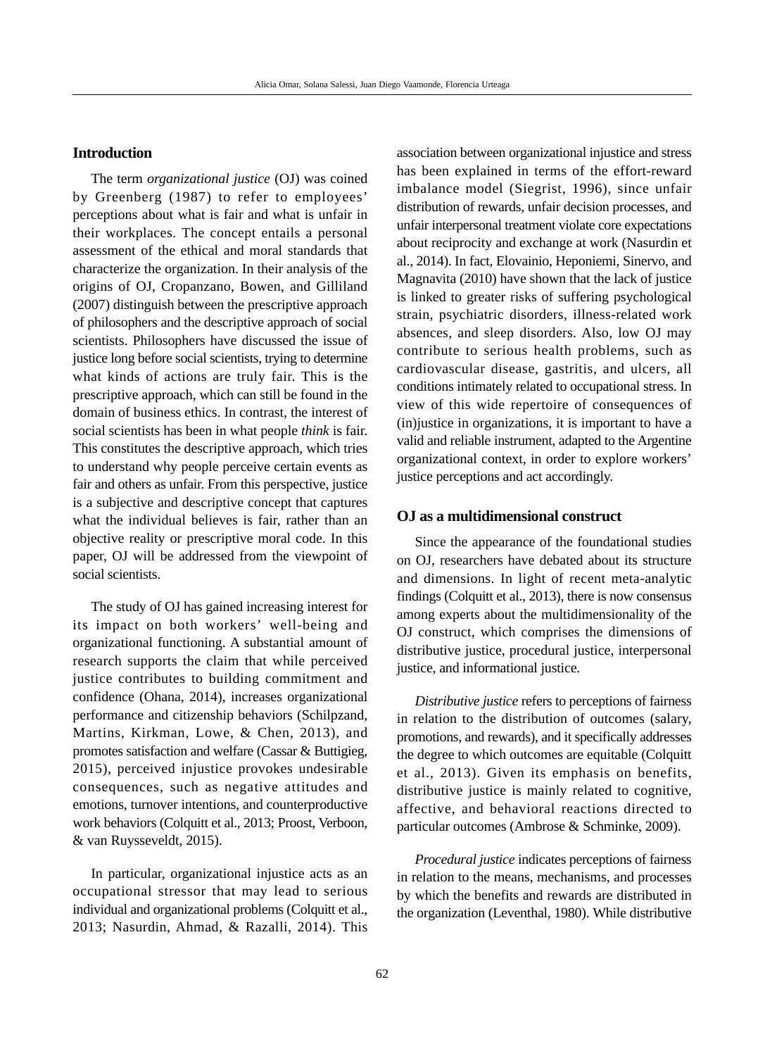# **Introduction**

The term *organizational justice* (OJ) was coined by Greenberg (1987) to refer to employees' perceptions about what is fair and what is unfair in their workplaces. The concept entails a personal assessment of the ethical and moral standards that characterize the organization. In their analysis of the origins of OJ, Cropanzano, Bowen, and Gilliland (2007) distinguish between the prescriptive approach of philosophers and the descriptive approach of social scientists. Philosophers have discussed the issue of justice long before social scientists, trying to determine what kinds of actions are truly fair. This is the prescriptive approach, which can still be found in the domain of business ethics. In contrast, the interest of social scientists has been in what people *think* is fair. This constitutes the descriptive approach, which tries to understand why people perceive certain events as fair and others as unfair. From this perspective, justice is a subjective and descriptive concept that captures what the individual believes is fair, rather than an objective reality or prescriptive moral code. In this paper, OJ will be addressed from the viewpoint of social scientists.

The study of OJ has gained increasing interest for its impact on both workers' well-being and organizational functioning. A substantial amount of research supports the claim that while perceived justice contributes to building commitment and confidence (Ohana, 2014), increases organizational performance and citizenship behaviors (Schilpzand, Martins, Kirkman, Lowe, & Chen, 2013), and promotes satisfaction and welfare (Cassar & Buttigieg, 2015), perceived injustice provokes undesirable consequences, such as negative attitudes and emotions, turnover intentions, and counterproductive work behaviors (Colquitt et al., 2013; Proost, Verboon, & van Ruysseveldt, 2015).

In particular, organizational injustice acts as an occupational stressor that may lead to serious individual and organizational problems (Colquitt et al., 2013; Nasurdin, Ahmad, & Razalli, 2014). This

association between organizational injustice and stress has been explained in terms of the effort-reward imbalance model (Siegrist, 1996), since unfair distribution of rewards, unfair decision processes, and unfair interpersonal treatment violate core expectations about reciprocity and exchange at work (Nasurdin et al., 2014). In fact, Elovainio, Heponiemi, Sinervo, and Magnavita (2010) have shown that the lack of justice is linked to greater risks of suffering psychological strain, psychiatric disorders, illness-related work absences, and sleep disorders. Also, low OJ may contribute to serious health problems, such as cardiovascular disease, gastritis, and ulcers, all conditions intimately related to occupational stress. In view of this wide repertoire of consequences of (in)justice in organizations, it is important to have a valid and reliable instrument, adapted to the Argentine organizational context, in order to explore workers' justice perceptions and act accordingly.

### **OJ as a multidimensional construct**

Since the appearance of the foundational studies on OJ, researchers have debated about its structure and dimensions. In light of recent meta-analytic findings (Colquitt et al., 2013), there is now consensus among experts about the multidimensionality of the OJ construct, which comprises the dimensions of distributive justice, procedural justice, interpersonal justice, and informational justice.

*Distributive justice* refers to perceptions of fairness in relation to the distribution of outcomes (salary, promotions, and rewards), and it specifically addresses the degree to which outcomes are equitable (Colquitt et al., 2013). Given its emphasis on benefits, distributive justice is mainly related to cognitive, affective, and behavioral reactions directed to particular outcomes (Ambrose & Schminke, 2009).

*Procedural justice* indicates perceptions of fairness in relation to the means, mechanisms, and processes by which the benefits and rewards are distributed in the organization (Leventhal, 1980). While distributive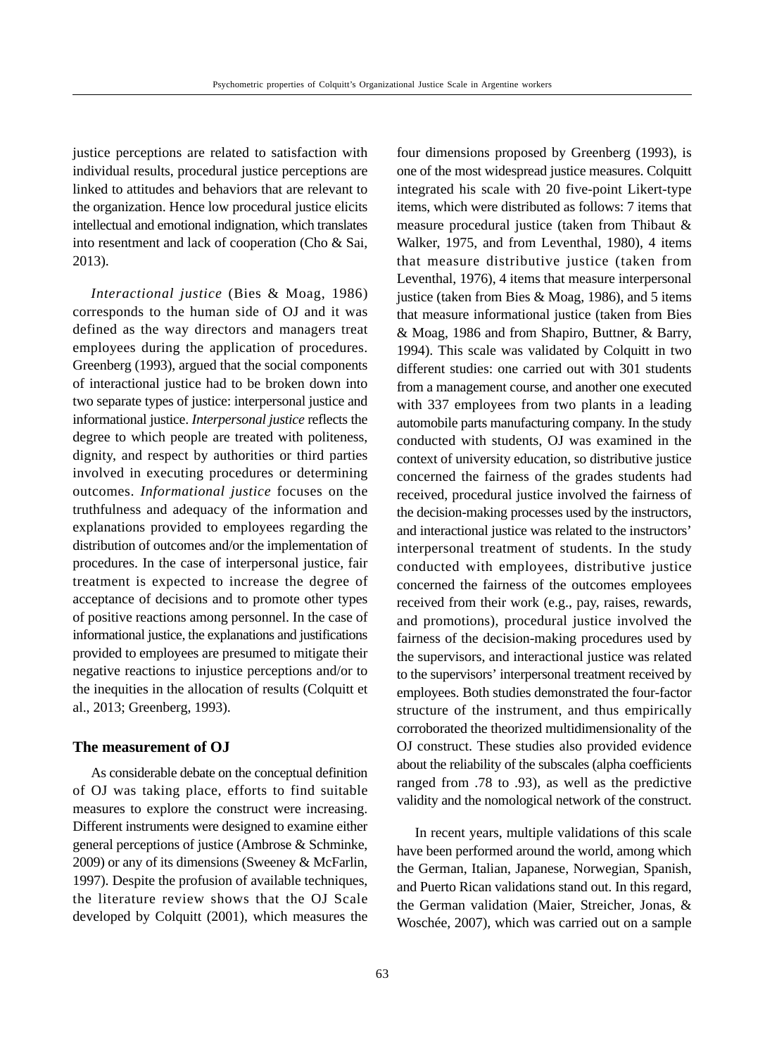justice perceptions are related to satisfaction with individual results, procedural justice perceptions are linked to attitudes and behaviors that are relevant to the organization. Hence low procedural justice elicits intellectual and emotional indignation, which translates into resentment and lack of cooperation (Cho & Sai, 2013).

*Interactional justice* (Bies & Moag, 1986) corresponds to the human side of OJ and it was defined as the way directors and managers treat employees during the application of procedures. Greenberg (1993), argued that the social components of interactional justice had to be broken down into two separate types of justice: interpersonal justice and informational justice. *Interpersonal justice* reflects the degree to which people are treated with politeness, dignity, and respect by authorities or third parties involved in executing procedures or determining outcomes. *Informational justice* focuses on the truthfulness and adequacy of the information and explanations provided to employees regarding the distribution of outcomes and/or the implementation of procedures. In the case of interpersonal justice, fair treatment is expected to increase the degree of acceptance of decisions and to promote other types of positive reactions among personnel. In the case of informational justice, the explanations and justifications provided to employees are presumed to mitigate their negative reactions to injustice perceptions and/or to the inequities in the allocation of results (Colquitt et al., 2013; Greenberg, 1993).

# **The measurement of OJ**

As considerable debate on the conceptual definition of OJ was taking place, efforts to find suitable measures to explore the construct were increasing. Different instruments were designed to examine either general perceptions of justice (Ambrose & Schminke, 2009) or any of its dimensions (Sweeney & McFarlin, 1997). Despite the profusion of available techniques, the literature review shows that the OJ Scale developed by Colquitt (2001), which measures the

four dimensions proposed by Greenberg (1993), is one of the most widespread justice measures. Colquitt integrated his scale with 20 five-point Likert-type items, which were distributed as follows: 7 items that measure procedural justice (taken from Thibaut & Walker, 1975, and from Leventhal, 1980), 4 items that measure distributive justice (taken from Leventhal, 1976), 4 items that measure interpersonal justice (taken from Bies  $& Moag, 1986$ ), and 5 items that measure informational justice (taken from Bies & Moag, 1986 and from Shapiro, Buttner, & Barry, 1994). This scale was validated by Colquitt in two different studies: one carried out with 301 students from a management course, and another one executed with 337 employees from two plants in a leading automobile parts manufacturing company. In the study conducted with students, OJ was examined in the context of university education, so distributive justice concerned the fairness of the grades students had received, procedural justice involved the fairness of the decision-making processes used by the instructors, and interactional justice was related to the instructors' interpersonal treatment of students. In the study conducted with employees, distributive justice concerned the fairness of the outcomes employees received from their work (e.g., pay, raises, rewards, and promotions), procedural justice involved the fairness of the decision-making procedures used by the supervisors, and interactional justice was related to the supervisors' interpersonal treatment received by employees. Both studies demonstrated the four-factor structure of the instrument, and thus empirically corroborated the theorized multidimensionality of the OJ construct. These studies also provided evidence about the reliability of the subscales (alpha coefficients ranged from .78 to .93), as well as the predictive validity and the nomological network of the construct.

In recent years, multiple validations of this scale have been performed around the world, among which the German, Italian, Japanese, Norwegian, Spanish, and Puerto Rican validations stand out. In this regard, the German validation (Maier, Streicher, Jonas, & Woschée, 2007), which was carried out on a sample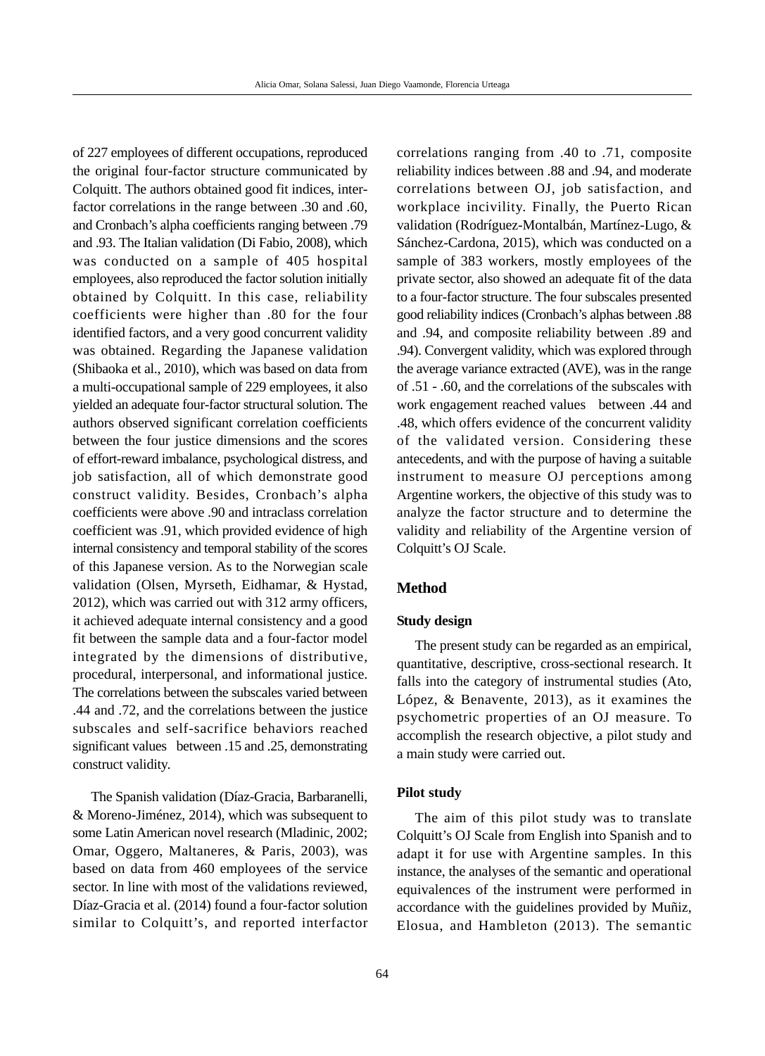of 227 employees of different occupations, reproduced the original four-factor structure communicated by Colquitt. The authors obtained good fit indices, interfactor correlations in the range between .30 and .60, and Cronbach's alpha coefficients ranging between .79 and .93. The Italian validation (Di Fabio, 2008), which was conducted on a sample of 405 hospital employees, also reproduced the factor solution initially obtained by Colquitt. In this case, reliability coefficients were higher than .80 for the four identified factors, and a very good concurrent validity was obtained. Regarding the Japanese validation (Shibaoka et al., 2010), which was based on data from a multi-occupational sample of 229 employees, it also yielded an adequate four-factor structural solution. The authors observed significant correlation coefficients between the four justice dimensions and the scores of effort-reward imbalance, psychological distress, and job satisfaction, all of which demonstrate good construct validity. Besides, Cronbach's alpha coefficients were above .90 and intraclass correlation coefficient was .91, which provided evidence of high internal consistency and temporal stability of the scores of this Japanese version. As to the Norwegian scale validation (Olsen, Myrseth, Eidhamar, & Hystad, 2012), which was carried out with 312 army officers, it achieved adequate internal consistency and a good fit between the sample data and a four-factor model integrated by the dimensions of distributive, procedural, interpersonal, and informational justice. The correlations between the subscales varied between .44 and .72, and the correlations between the justice subscales and self-sacrifice behaviors reached significant values between .15 and .25, demonstrating construct validity.

The Spanish validation (Díaz-Gracia, Barbaranelli, & Moreno-Jiménez, 2014), which was subsequent to some Latin American novel research (Mladinic, 2002; Omar, Oggero, Maltaneres, & Paris, 2003), was based on data from 460 employees of the service sector. In line with most of the validations reviewed, Díaz-Gracia et al. (2014) found a four-factor solution similar to Colquitt's, and reported interfactor correlations ranging from .40 to .71, composite reliability indices between .88 and .94, and moderate correlations between OJ, job satisfaction, and workplace incivility. Finally, the Puerto Rican validation (Rodríguez-Montalbán, Martínez-Lugo, & Sánchez-Cardona, 2015), which was conducted on a sample of 383 workers, mostly employees of the private sector, also showed an adequate fit of the data to a four-factor structure. The four subscales presented good reliability indices (Cronbach's alphas between .88 and .94, and composite reliability between .89 and .94). Convergent validity, which was explored through the average variance extracted (AVE), was in the range of .51 - .60, and the correlations of the subscales with work engagement reached values between .44 and .48, which offers evidence of the concurrent validity of the validated version. Considering these antecedents, and with the purpose of having a suitable instrument to measure OJ perceptions among Argentine workers, the objective of this study was to analyze the factor structure and to determine the validity and reliability of the Argentine version of Colquitt's OJ Scale.

# **Method**

### **Study design**

The present study can be regarded as an empirical, quantitative, descriptive, cross-sectional research. It falls into the category of instrumental studies (Ato, López, & Benavente, 2013), as it examines the psychometric properties of an OJ measure. To accomplish the research objective, a pilot study and a main study were carried out.

#### **Pilot study**

The aim of this pilot study was to translate Colquitt's OJ Scale from English into Spanish and to adapt it for use with Argentine samples. In this instance, the analyses of the semantic and operational equivalences of the instrument were performed in accordance with the guidelines provided by Muñiz, Elosua, and Hambleton (2013). The semantic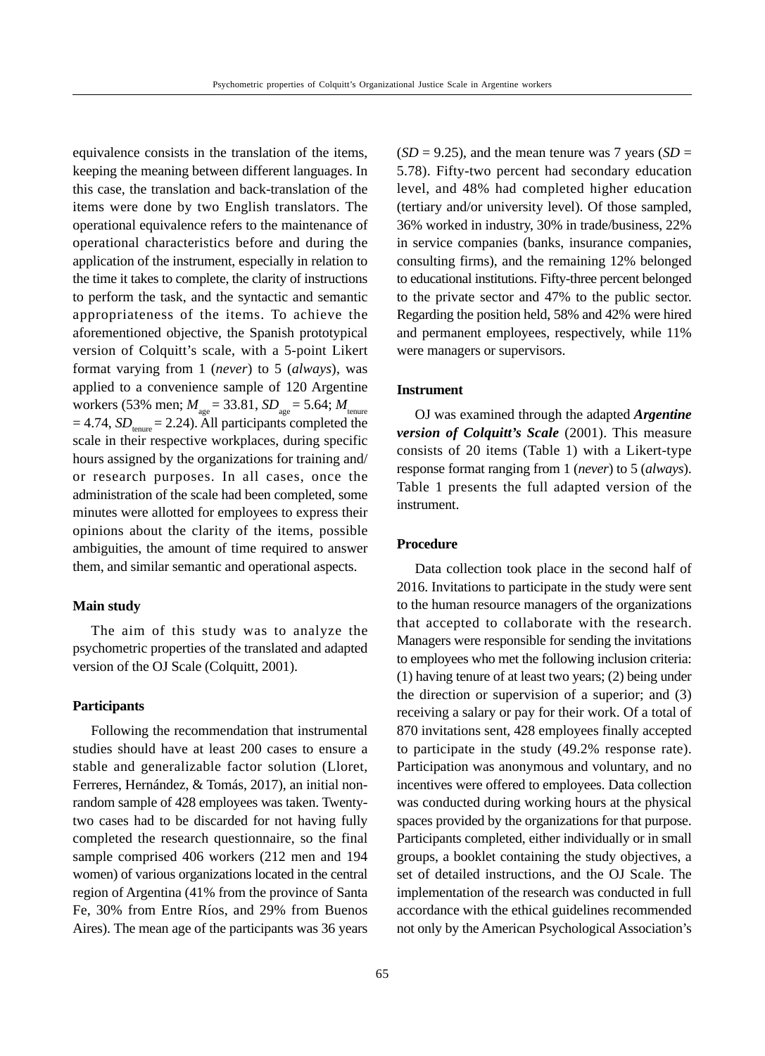equivalence consists in the translation of the items, keeping the meaning between different languages. In this case, the translation and back-translation of the items were done by two English translators. The operational equivalence refers to the maintenance of operational characteristics before and during the application of the instrument, especially in relation to the time it takes to complete, the clarity of instructions to perform the task, and the syntactic and semantic appropriateness of the items. To achieve the aforementioned objective, the Spanish prototypical version of Colquitt's scale, with a 5-point Likert format varying from 1 (*never*) to 5 (*always*), was applied to a convenience sample of 120 Argentine workers (53% men;  $M_{\text{age}} = 33.81$ ,  $SD_{\text{age}} = 5.64$ ;  $M_{\text{temperature}}$  $= 4.74$ , *SD*<sub>tenure</sub>  $= 2.24$ ). All participants completed the scale in their respective workplaces, during specific hours assigned by the organizations for training and/ or research purposes. In all cases, once the administration of the scale had been completed, some minutes were allotted for employees to express their opinions about the clarity of the items, possible ambiguities, the amount of time required to answer them, and similar semantic and operational aspects.

# **Main study**

The aim of this study was to analyze the psychometric properties of the translated and adapted version of the OJ Scale (Colquitt, 2001).

# **Participants**

Following the recommendation that instrumental studies should have at least 200 cases to ensure a stable and generalizable factor solution (Lloret, Ferreres, Hernández, & Tomás, 2017), an initial nonrandom sample of 428 employees was taken. Twentytwo cases had to be discarded for not having fully completed the research questionnaire, so the final sample comprised 406 workers (212 men and 194 women) of various organizations located in the central region of Argentina (41% from the province of Santa Fe, 30% from Entre Ríos, and 29% from Buenos Aires). The mean age of the participants was 36 years

 $(SD = 9.25)$ , and the mean tenure was 7 years  $(SD = 9.25)$ 5.78). Fifty-two percent had secondary education level, and 48% had completed higher education (tertiary and/or university level). Of those sampled, 36% worked in industry, 30% in trade/business, 22% in service companies (banks, insurance companies, consulting firms), and the remaining 12% belonged to educational institutions. Fifty-three percent belonged to the private sector and 47% to the public sector. Regarding the position held, 58% and 42% were hired and permanent employees, respectively, while 11% were managers or supervisors.

#### **Instrument**

OJ was examined through the adapted *Argentine version of Colquitt's Scale* (2001). This measure consists of 20 items (Table 1) with a Likert-type response format ranging from 1 (*never*) to 5 (*always*). Table 1 presents the full adapted version of the instrument.

# **Procedure**

Data collection took place in the second half of 2016. Invitations to participate in the study were sent to the human resource managers of the organizations that accepted to collaborate with the research. Managers were responsible for sending the invitations to employees who met the following inclusion criteria: (1) having tenure of at least two years; (2) being under the direction or supervision of a superior; and (3) receiving a salary or pay for their work. Of a total of 870 invitations sent, 428 employees finally accepted to participate in the study (49.2% response rate). Participation was anonymous and voluntary, and no incentives were offered to employees. Data collection was conducted during working hours at the physical spaces provided by the organizations for that purpose. Participants completed, either individually or in small groups, a booklet containing the study objectives, a set of detailed instructions, and the OJ Scale. The implementation of the research was conducted in full accordance with the ethical guidelines recommended not only by the American Psychological Association's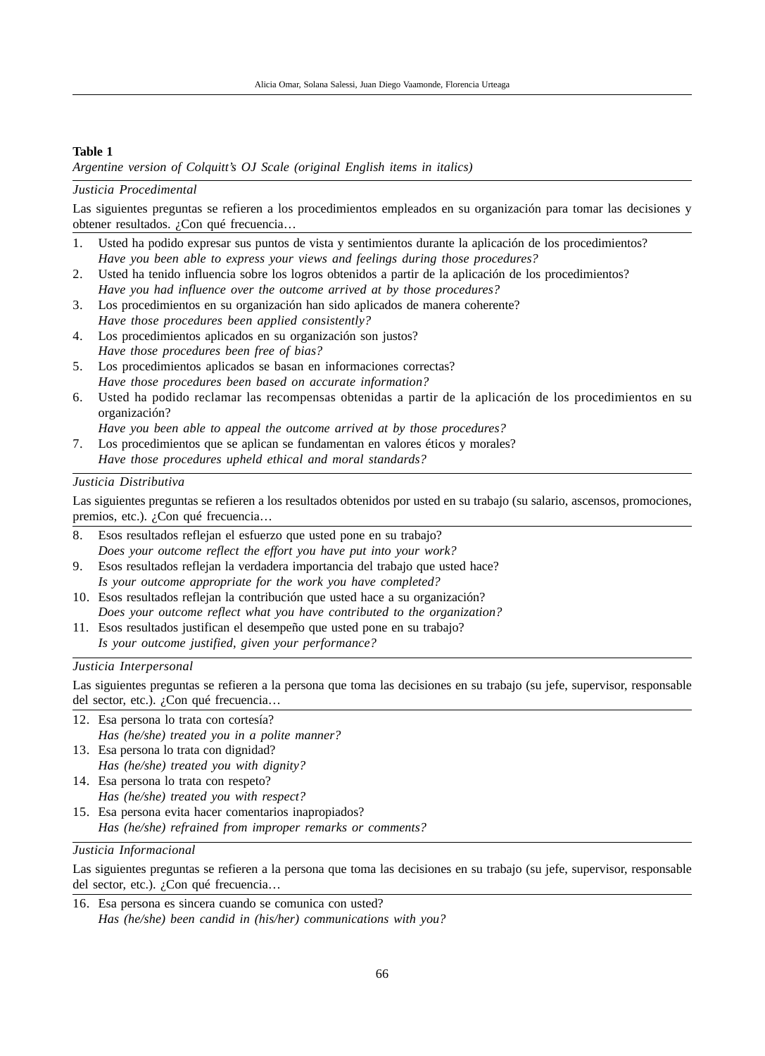# **Table 1**

*Argentine version of Colquitt's OJ Scale (original English items in italics)*

### *Justicia Procedimental*

Las siguientes preguntas se refieren a los procedimientos empleados en su organización para tomar las decisiones y obtener resultados. ¿Con qué frecuencia…

- 1. Usted ha podido expresar sus puntos de vista y sentimientos durante la aplicación de los procedimientos? *Have you been able to express your views and feelings during those procedures?*
- 2. Usted ha tenido influencia sobre los logros obtenidos a partir de la aplicación de los procedimientos? *Have you had influence over the outcome arrived at by those procedures?*
- 3. Los procedimientos en su organización han sido aplicados de manera coherente? *Have those procedures been applied consistently?*
- 4. Los procedimientos aplicados en su organización son justos? *Have those procedures been free of bias?*
- 5. Los procedimientos aplicados se basan en informaciones correctas? *Have those procedures been based on accurate information?*
- 6. Usted ha podido reclamar las recompensas obtenidas a partir de la aplicación de los procedimientos en su organización?

*Have you been able to appeal the outcome arrived at by those procedures?*

7. Los procedimientos que se aplican se fundamentan en valores éticos y morales? *Have those procedures upheld ethical and moral standards?*

### *Justicia Distributiva*

Las siguientes preguntas se refieren a los resultados obtenidos por usted en su trabajo (su salario, ascensos, promociones, premios, etc.). ¿Con qué frecuencia...

- 8. Esos resultados reflejan el esfuerzo que usted pone en su trabajo? *Does your outcome reflect the effort you have put into your work?*
- 9. Esos resultados reflejan la verdadera importancia del trabajo que usted hace? *Is your outcome appropriate for the work you have completed?*
- 10. Esos resultados reflejan la contribución que usted hace a su organización? *Does your outcome reflect what you have contributed to the organization?*
- 11. Esos resultados justifican el desempeño que usted pone en su trabajo? *Is your outcome justified, given your performance?*

#### *Justicia Interpersonal*

Las siguientes preguntas se refieren a la persona que toma las decisiones en su trabajo (su jefe, supervisor, responsable del sector, etc.). ¿Con qué frecuencia…

- 12. Esa persona lo trata con cortesía? *Has (he/she) treated you in a polite manner?*
- 13. Esa persona lo trata con dignidad? *Has (he/she) treated you with dignity?*
- 14. Esa persona lo trata con respeto? *Has (he/she) treated you with respect?*
- 15. Esa persona evita hacer comentarios inapropiados? *Has (he/she) refrained from improper remarks or comments?*

### *Justicia Informacional*

Las siguientes preguntas se refieren a la persona que toma las decisiones en su trabajo (su jefe, supervisor, responsable del sector, etc.). ¿Con qué frecuencia…

16. Esa persona es sincera cuando se comunica con usted? *Has (he/she) been candid in (his/her) communications with you?*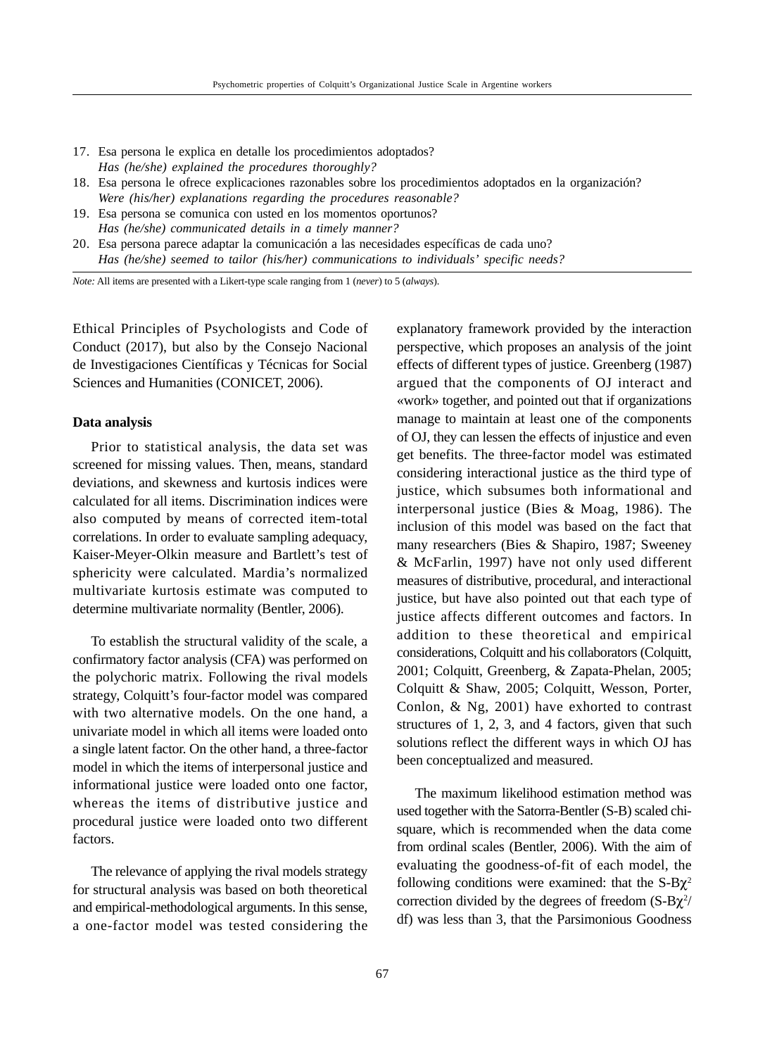- 17. Esa persona le explica en detalle los procedimientos adoptados? *Has (he/she) explained the procedures thoroughly?*
- 18. Esa persona le ofrece explicaciones razonables sobre los procedimientos adoptados en la organización? *Were (his/her) explanations regarding the procedures reasonable?*
- 19. Esa persona se comunica con usted en los momentos oportunos? *Has (he/she) communicated details in a timely manner?*
- 20. Esa persona parece adaptar la comunicación a las necesidades específicas de cada uno? *Has (he/she) seemed to tailor (his/her) communications to individuals' specific needs?*

*Note:* All items are presented with a Likert-type scale ranging from 1 (*never*) to 5 (*always*).

Ethical Principles of Psychologists and Code of Conduct (2017), but also by the Consejo Nacional de Investigaciones Científicas y Técnicas for Social Sciences and Humanities (CONICET, 2006).

#### **Data analysis**

Prior to statistical analysis, the data set was screened for missing values. Then, means, standard deviations, and skewness and kurtosis indices were calculated for all items. Discrimination indices were also computed by means of corrected item-total correlations. In order to evaluate sampling adequacy, Kaiser-Meyer-Olkin measure and Bartlett's test of sphericity were calculated. Mardia's normalized multivariate kurtosis estimate was computed to determine multivariate normality (Bentler, 2006).

To establish the structural validity of the scale, a confirmatory factor analysis (CFA) was performed on the polychoric matrix. Following the rival models strategy, Colquitt's four-factor model was compared with two alternative models. On the one hand, a univariate model in which all items were loaded onto a single latent factor. On the other hand, a three-factor model in which the items of interpersonal justice and informational justice were loaded onto one factor, whereas the items of distributive justice and procedural justice were loaded onto two different factors.

The relevance of applying the rival models strategy for structural analysis was based on both theoretical and empirical-methodological arguments. In this sense, a one-factor model was tested considering the

explanatory framework provided by the interaction perspective, which proposes an analysis of the joint effects of different types of justice. Greenberg (1987) argued that the components of OJ interact and «work» together, and pointed out that if organizations manage to maintain at least one of the components of OJ, they can lessen the effects of injustice and even get benefits. The three-factor model was estimated considering interactional justice as the third type of justice, which subsumes both informational and interpersonal justice (Bies & Moag, 1986). The inclusion of this model was based on the fact that many researchers (Bies & Shapiro, 1987; Sweeney & McFarlin, 1997) have not only used different measures of distributive, procedural, and interactional justice, but have also pointed out that each type of justice affects different outcomes and factors. In addition to these theoretical and empirical considerations, Colquitt and his collaborators (Colquitt, 2001; Colquitt, Greenberg, & Zapata-Phelan, 2005; Colquitt & Shaw, 2005; Colquitt, Wesson, Porter, Conlon, & Ng, 2001) have exhorted to contrast structures of 1, 2, 3, and 4 factors, given that such solutions reflect the different ways in which OJ has been conceptualized and measured.

The maximum likelihood estimation method was used together with the Satorra-Bentler (S-B) scaled chisquare, which is recommended when the data come from ordinal scales (Bentler, 2006). With the aim of evaluating the goodness-of-fit of each model, the following conditions were examined: that the  $S-B\chi^2$ correction divided by the degrees of freedom  $(S-B\chi^2)$ df) was less than 3, that the Parsimonious Goodness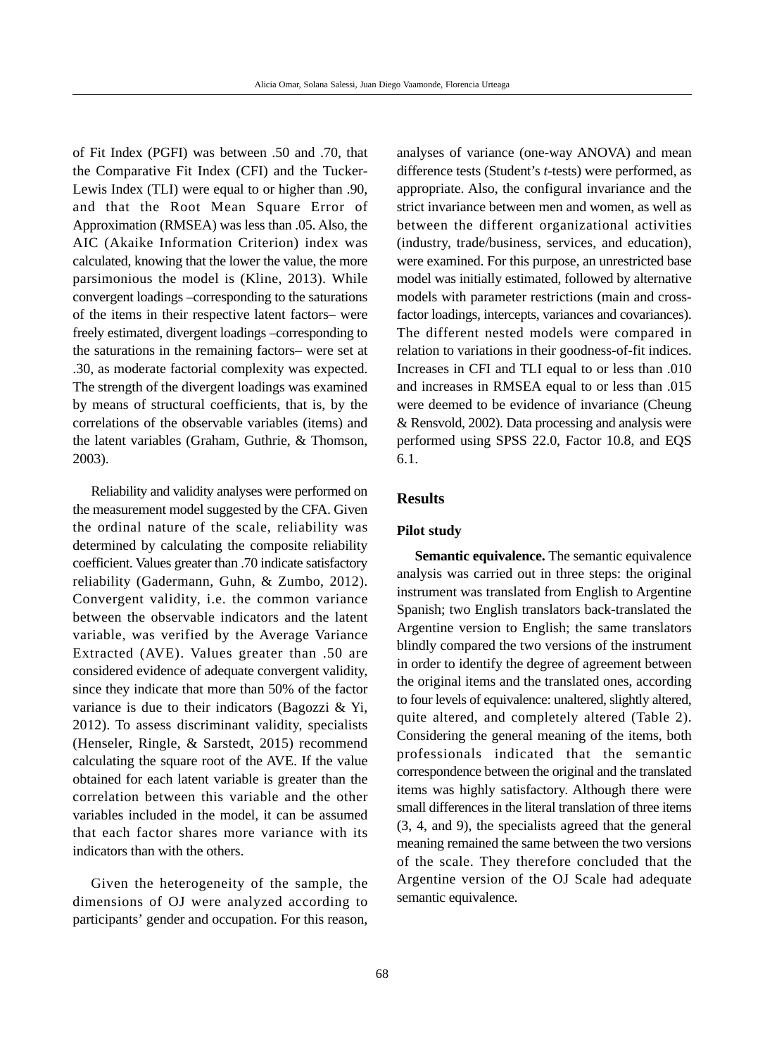of Fit Index (PGFI) was between .50 and .70, that the Comparative Fit Index (CFI) and the Tucker-Lewis Index (TLI) were equal to or higher than .90, and that the Root Mean Square Error of Approximation (RMSEA) was less than .05. Also, the AIC (Akaike Information Criterion) index was calculated, knowing that the lower the value, the more parsimonious the model is (Kline, 2013). While convergent loadings –corresponding to the saturations of the items in their respective latent factors– were freely estimated, divergent loadings –corresponding to the saturations in the remaining factors– were set at .30, as moderate factorial complexity was expected. The strength of the divergent loadings was examined by means of structural coefficients, that is, by the correlations of the observable variables (items) and the latent variables (Graham, Guthrie, & Thomson, 2003).

Reliability and validity analyses were performed on the measurement model suggested by the CFA. Given the ordinal nature of the scale, reliability was determined by calculating the composite reliability coefficient. Values greater than .70 indicate satisfactory reliability (Gadermann, Guhn, & Zumbo, 2012). Convergent validity, i.e. the common variance between the observable indicators and the latent variable, was verified by the Average Variance Extracted (AVE). Values greater than .50 are considered evidence of adequate convergent validity, since they indicate that more than 50% of the factor variance is due to their indicators (Bagozzi & Yi, 2012). To assess discriminant validity, specialists (Henseler, Ringle, & Sarstedt, 2015) recommend calculating the square root of the AVE. If the value obtained for each latent variable is greater than the correlation between this variable and the other variables included in the model, it can be assumed that each factor shares more variance with its indicators than with the others.

Given the heterogeneity of the sample, the dimensions of OJ were analyzed according to participants' gender and occupation. For this reason,

analyses of variance (one-way ANOVA) and mean difference tests (Student's *t*-tests) were performed, as appropriate. Also, the configural invariance and the strict invariance between men and women, as well as between the different organizational activities (industry, trade/business, services, and education), were examined. For this purpose, an unrestricted base model was initially estimated, followed by alternative models with parameter restrictions (main and crossfactor loadings, intercepts, variances and covariances). The different nested models were compared in relation to variations in their goodness-of-fit indices. Increases in CFI and TLI equal to or less than .010 and increases in RMSEA equal to or less than .015 were deemed to be evidence of invariance (Cheung & Rensvold, 2002). Data processing and analysis were performed using SPSS 22.0, Factor 10.8, and EQS 6.1.

# **Results**

#### **Pilot study**

**Semantic equivalence.** The semantic equivalence analysis was carried out in three steps: the original instrument was translated from English to Argentine Spanish; two English translators back-translated the Argentine version to English; the same translators blindly compared the two versions of the instrument in order to identify the degree of agreement between the original items and the translated ones, according to four levels of equivalence: unaltered, slightly altered, quite altered, and completely altered (Table 2). Considering the general meaning of the items, both professionals indicated that the semantic correspondence between the original and the translated items was highly satisfactory. Although there were small differences in the literal translation of three items (3, 4, and 9), the specialists agreed that the general meaning remained the same between the two versions of the scale. They therefore concluded that the Argentine version of the OJ Scale had adequate semantic equivalence.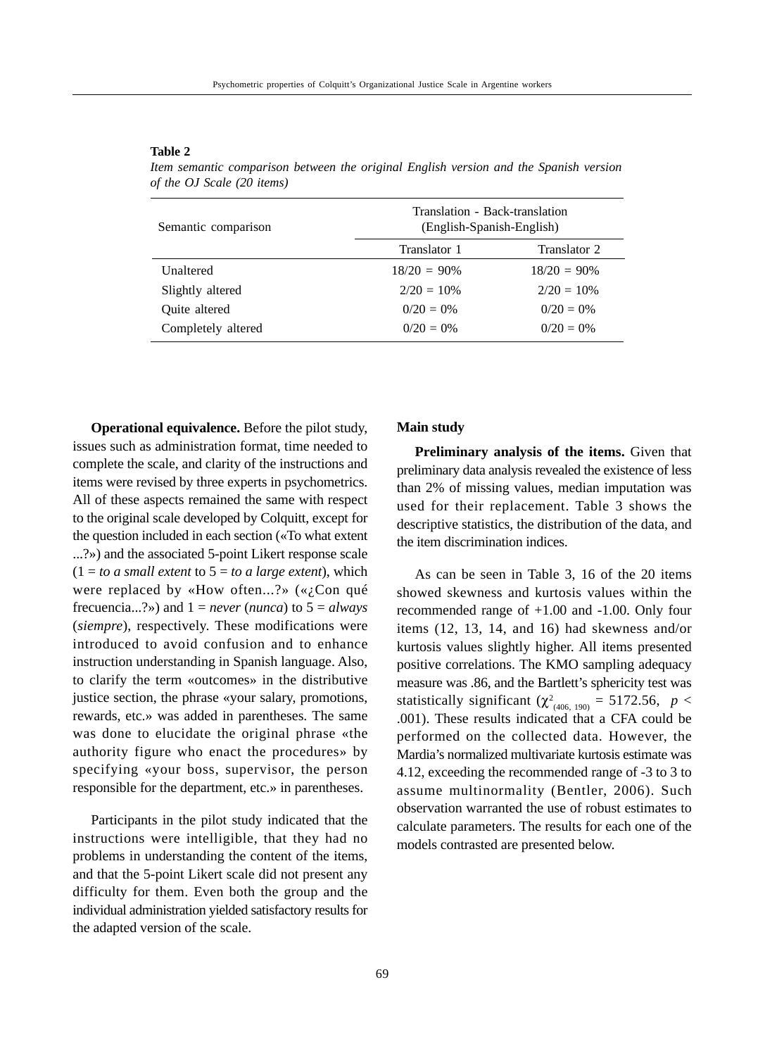#### **Table 2**

| Semantic comparison  | Translation - Back-translation<br>(English-Spanish-English) |                |  |  |  |
|----------------------|-------------------------------------------------------------|----------------|--|--|--|
|                      | Translator 1                                                | Translator 2   |  |  |  |
| <b>Unaltered</b>     | $18/20 = 90\%$                                              | $18/20 = 90\%$ |  |  |  |
| Slightly altered     | $2/20 = 10\%$                                               | $2/20 = 10\%$  |  |  |  |
| <b>Ouite</b> altered | $0/20 = 0\%$                                                | $0/20 = 0\%$   |  |  |  |
| Completely altered   | $0/20 = 0\%$                                                | $0/20 = 0\%$   |  |  |  |

*Item semantic comparison between the original English version and the Spanish version of the OJ Scale (20 items)*

**Operational equivalence.** Before the pilot study, issues such as administration format, time needed to complete the scale, and clarity of the instructions and items were revised by three experts in psychometrics. All of these aspects remained the same with respect to the original scale developed by Colquitt, except for the question included in each section («To what extent ...?») and the associated 5-point Likert response scale  $(1 = to a small extent to 5 = to a large extent), which$ were replaced by «How often...?» (« $i$ Con qué frecuencia...?») and 1 = *never* (*nunca*) to 5 = *always* (*siempre*), respectively. These modifications were introduced to avoid confusion and to enhance instruction understanding in Spanish language. Also, to clarify the term «outcomes» in the distributive justice section, the phrase «your salary, promotions, rewards, etc.» was added in parentheses. The same was done to elucidate the original phrase «the authority figure who enact the procedures» by specifying «your boss, supervisor, the person responsible for the department, etc.» in parentheses.

Participants in the pilot study indicated that the instructions were intelligible, that they had no problems in understanding the content of the items, and that the 5-point Likert scale did not present any difficulty for them. Even both the group and the individual administration yielded satisfactory results for the adapted version of the scale.

### **Main study**

**Preliminary analysis of the items.** Given that preliminary data analysis revealed the existence of less than 2% of missing values, median imputation was used for their replacement. Table 3 shows the descriptive statistics, the distribution of the data, and the item discrimination indices.

As can be seen in Table 3, 16 of the 20 items showed skewness and kurtosis values within the recommended range of +1.00 and -1.00. Only four items (12, 13, 14, and 16) had skewness and/or kurtosis values slightly higher. All items presented positive correlations. The KMO sampling adequacy measure was .86, and the Bartlett's sphericity test was statistically significant ( $\chi^2_{(406, 190)} = 5172.56$ , *p* < .001). These results indicated that a CFA could be performed on the collected data. However, the Mardia's normalized multivariate kurtosis estimate was 4.12, exceeding the recommended range of -3 to 3 to assume multinormality (Bentler, 2006). Such observation warranted the use of robust estimates to calculate parameters. The results for each one of the models contrasted are presented below.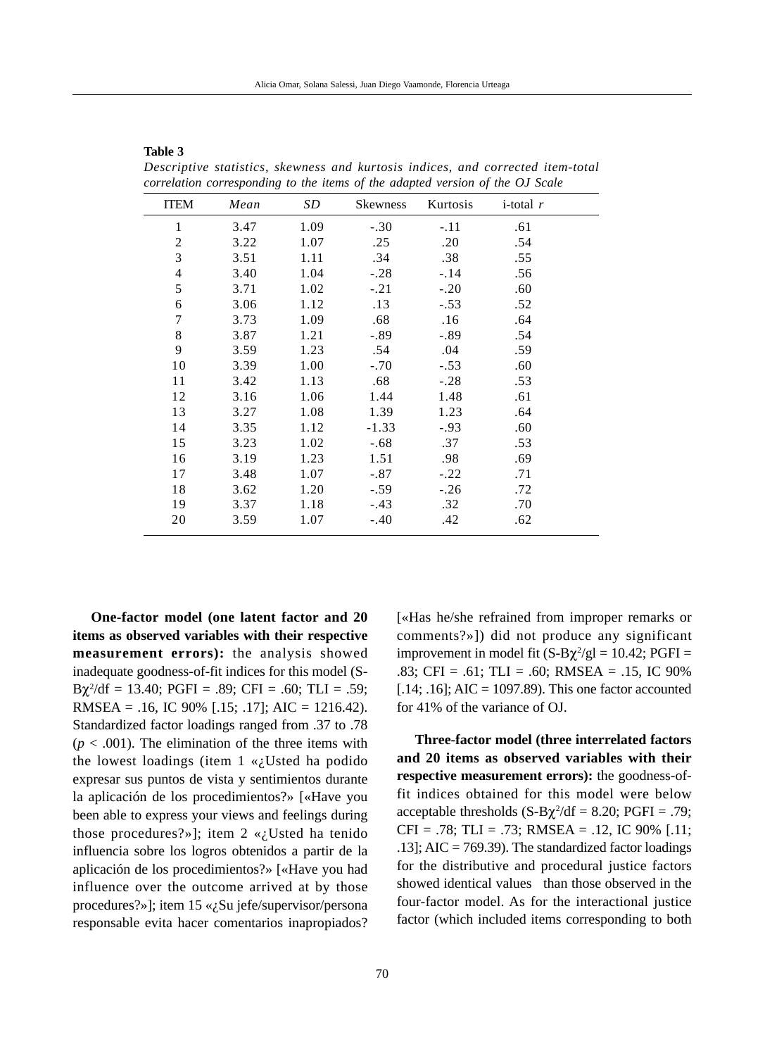| <b>ITEM</b>              | Mean | SD   | <b>Skewness</b> | Kurtosis | i-total $r$ |
|--------------------------|------|------|-----------------|----------|-------------|
| 1                        | 3.47 | 1.09 | $-.30$          | $-.11$   | .61         |
| 2                        | 3.22 | 1.07 | .25             | .20      | .54         |
| 3                        | 3.51 | 1.11 | .34             | .38      | .55         |
| $\overline{\mathcal{L}}$ | 3.40 | 1.04 | $-.28$          | $-.14$   | .56         |
| 5                        | 3.71 | 1.02 | $-.21$          | $-.20$   | .60         |
| 6                        | 3.06 | 1.12 | .13             | $-.53$   | .52         |
| $\overline{7}$           | 3.73 | 1.09 | .68             | .16      | .64         |
| 8                        | 3.87 | 1.21 | $-.89$          | $-.89$   | .54         |
| 9                        | 3.59 | 1.23 | .54             | .04      | .59         |
| 10                       | 3.39 | 1.00 | $-.70$          | $-.53$   | .60         |
| 11                       | 3.42 | 1.13 | .68             | $-.28$   | .53         |
| 12                       | 3.16 | 1.06 | 1.44            | 1.48     | .61         |
| 13                       | 3.27 | 1.08 | 1.39            | 1.23     | .64         |
| 14                       | 3.35 | 1.12 | $-1.33$         | $-.93$   | .60         |
| 15                       | 3.23 | 1.02 | $-.68$          | .37      | .53         |
| 16                       | 3.19 | 1.23 | 1.51            | .98      | .69         |
| 17                       | 3.48 | 1.07 | $-.87$          | $-.22$   | .71         |
| 18                       | 3.62 | 1.20 | $-.59$          | $-.26$   | .72         |
| 19                       | 3.37 | 1.18 | $-.43$          | .32      | .70         |
| 20                       | 3.59 | 1.07 | $-.40$          | .42      | .62         |

*Descriptive statistics, skewness and kurtosis indices, and corrected item-total correlation corresponding to the items of the adapted version of the OJ Scale*

**One-factor model (one latent factor and 20 items as observed variables with their respective measurement errors):** the analysis showed inadequate goodness-of-fit indices for this model (S- $B\chi^2/df = 13.40$ ;  $PGFI = .89$ ;  $CFI = .60$ ;  $TLI = .59$ ; RMSEA = .16, IC 90% [.15; .17]; AIC = 1216.42). Standardized factor loadings ranged from .37 to .78  $(p < .001)$ . The elimination of the three items with the lowest loadings (item  $1 \ll_{\mathcal{L}} U$ sted ha podido expresar sus puntos de vista y sentimientos durante la aplicación de los procedimientos?» [«Have you been able to express your views and feelings during those procedures?»]; item 2 « $i$ Usted ha tenido influencia sobre los logros obtenidos a partir de la aplicación de los procedimientos?» [«Have you had influence over the outcome arrived at by those procedures?»]; item 15 «¿Su jefe/supervisor/persona responsable evita hacer comentarios inapropiados?

**Table 3**

[«Has he/she refrained from improper remarks or comments?»]) did not produce any significant improvement in model fit  $(S-B\chi^2/gl = 10.42; PGFI =$ .83; CFI = .61; TLI = .60; RMSEA = .15, IC  $90\%$ [.14; .16]; AIC = 1097.89). This one factor accounted for 41% of the variance of OJ.

**Three-factor model (three interrelated factors and 20 items as observed variables with their respective measurement errors):** the goodness-offit indices obtained for this model were below acceptable thresholds  $(S-B\chi^2/df = 8.20; PGFI = .79;$  $CFI = .78$ ; TLI = .73; RMSEA = .12, IC 90% [.11; .13]; AIC = 769.39). The standardized factor loadings for the distributive and procedural justice factors showed identical values than those observed in the four-factor model. As for the interactional justice factor (which included items corresponding to both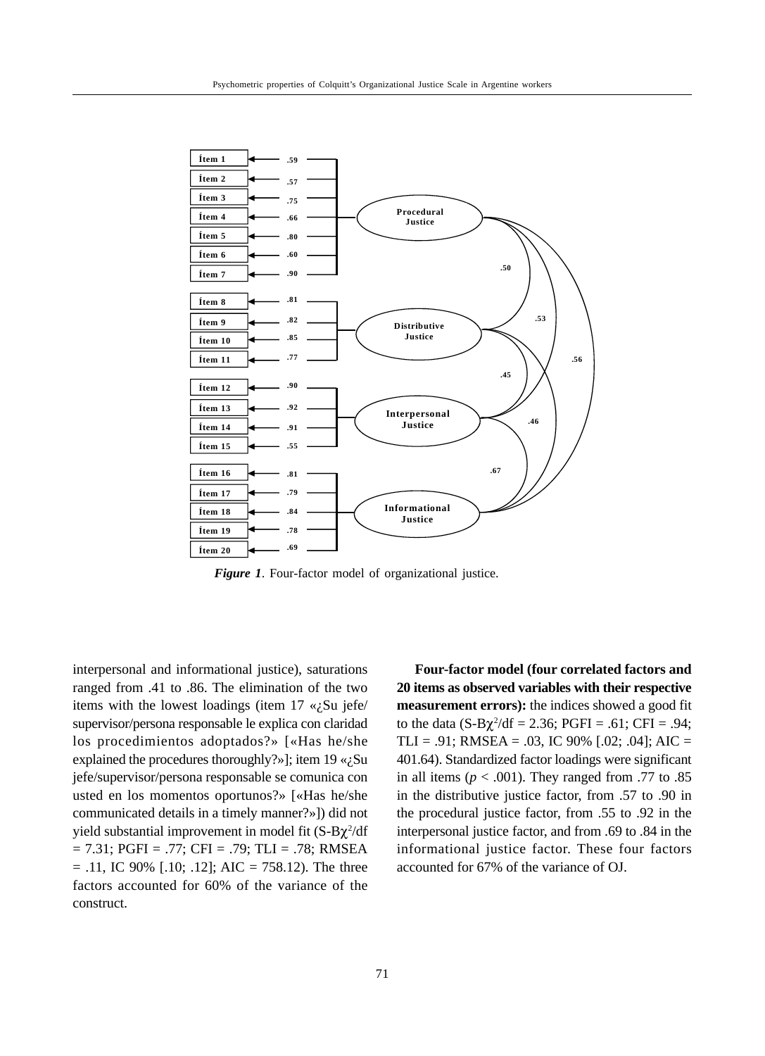

*Figure 1*. Four-factor model of organizational justice.

interpersonal and informational justice), saturations ranged from .41 to .86. The elimination of the two items with the lowest loadings (item  $17 \ll i$ Su jefe/ supervisor/persona responsable le explica con claridad los procedimientos adoptados?» [«Has he/she explained the procedures thoroughly?»]; item  $19 \times_{\mathcal{L}} \text{Su}$ jefe/supervisor/persona responsable se comunica con usted en los momentos oportunos?» [«Has he/she communicated details in a timely manner?»]) did not yield substantial improvement in model fit  $(S-B\chi^2/df)$  $= 7.31$ ; PGFI = .77; CFI = .79; TLI = .78; RMSEA  $= .11$ , IC 90% [.10; .12]; AIC  $= 758.12$ ). The three factors accounted for 60% of the variance of the construct.

**Four-factor model (four correlated factors and 20 items as observed variables with their respective measurement errors):** the indices showed a good fit to the data  $(S-B\chi^2/df = 2.36; PGFI = .61; CFI = .94;$ TLI = .91; RMSEA = .03, IC 90% [.02; .04]; AIC = 401.64). Standardized factor loadings were significant in all items ( $p < .001$ ). They ranged from .77 to .85 in the distributive justice factor, from .57 to .90 in the procedural justice factor, from .55 to .92 in the interpersonal justice factor, and from .69 to .84 in the informational justice factor. These four factors accounted for 67% of the variance of OJ.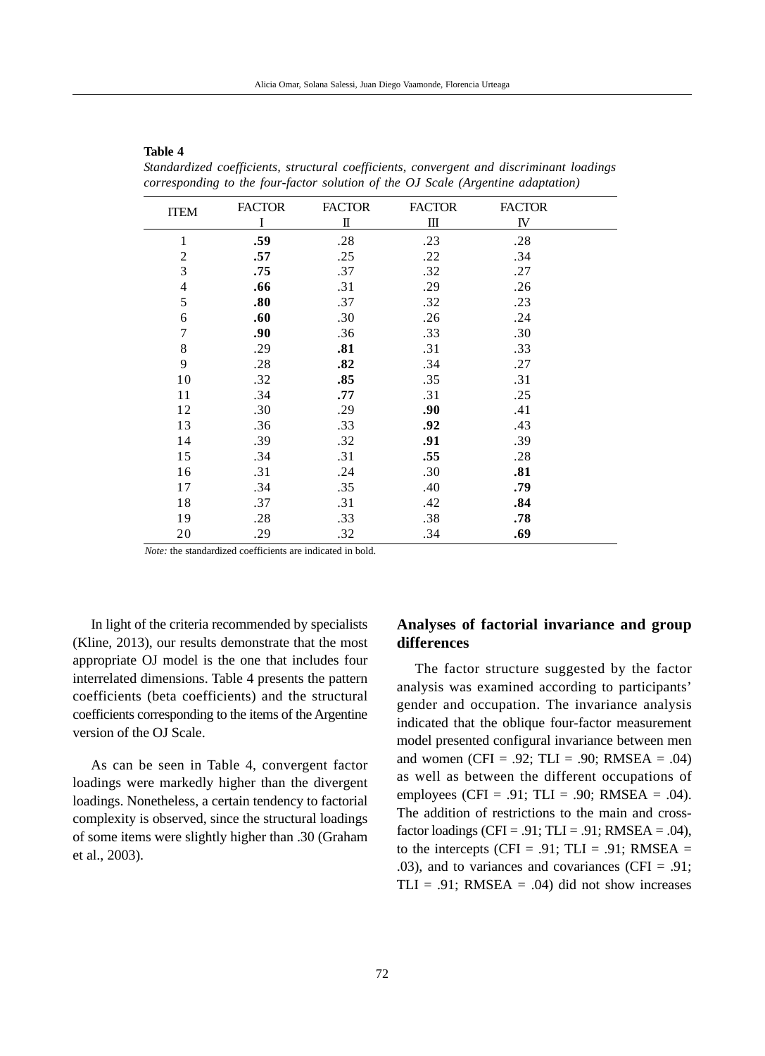| $\cdot$        |               |               | $\circ$       |               |  |
|----------------|---------------|---------------|---------------|---------------|--|
| <b>ITEM</b>    | <b>FACTOR</b> | <b>FACTOR</b> | <b>FACTOR</b> | <b>FACTOR</b> |  |
|                | I             | П             | Ш             | IV            |  |
| 1              | .59           | .28           | .23           | .28           |  |
| $\overline{2}$ | .57           | .25           | .22           | .34           |  |
| 3              | .75           | .37           | .32           | .27           |  |
| $\overline{4}$ | .66           | .31           | .29           | .26           |  |
| 5              | .80           | .37           | .32           | .23           |  |
| 6              | .60           | .30           | .26           | .24           |  |
| 7              | .90           | .36           | .33           | .30           |  |
| 8              | .29           | .81           | .31           | .33           |  |
| 9              | .28           | .82           | .34           | .27           |  |
| 10             | .32           | .85           | .35           | .31           |  |
| 11             | .34           | .77           | .31           | .25           |  |
| 12             | .30           | .29           | .90           | .41           |  |
| 13             | .36           | .33           | .92           | .43           |  |
| 14             | .39           | .32           | .91           | .39           |  |
| 15             | .34           | .31           | .55           | .28           |  |
| 16             | .31           | .24           | .30           | .81           |  |
| 17             | .34           | .35           | .40           | .79           |  |
| 18             | .37           | .31           | .42           | .84           |  |
| 19             | .28           | .33           | .38           | .78           |  |
| 20             | .29           | .32           | .34           | .69           |  |

*Standardized coefficients, structural coefficients, convergent and discriminant loadings corresponding to the four-factor solution of the OJ Scale (Argentine adaptation)*

*Note:* the standardized coefficients are indicated in bold.

In light of the criteria recommended by specialists (Kline, 2013), our results demonstrate that the most appropriate OJ model is the one that includes four interrelated dimensions. Table 4 presents the pattern coefficients (beta coefficients) and the structural coefficients corresponding to the items of the Argentine version of the OJ Scale.

**Table 4**

As can be seen in Table 4, convergent factor loadings were markedly higher than the divergent loadings. Nonetheless, a certain tendency to factorial complexity is observed, since the structural loadings of some items were slightly higher than .30 (Graham et al., 2003).

# **Analyses of factorial invariance and group differences**

The factor structure suggested by the factor analysis was examined according to participants' gender and occupation. The invariance analysis indicated that the oblique four-factor measurement model presented configural invariance between men and women (CFI = .92; TLI = .90; RMSEA = .04) as well as between the different occupations of employees (CFI = .91; TLI = .90; RMSEA = .04). The addition of restrictions to the main and crossfactor loadings (CFI = .91; TLI = .91; RMSEA = .04), to the intercepts (CFI = .91; TLI = .91; RMSEA = .03), and to variances and covariances (CFI = .91; TLI = .91; RMSEA = .04) did not show increases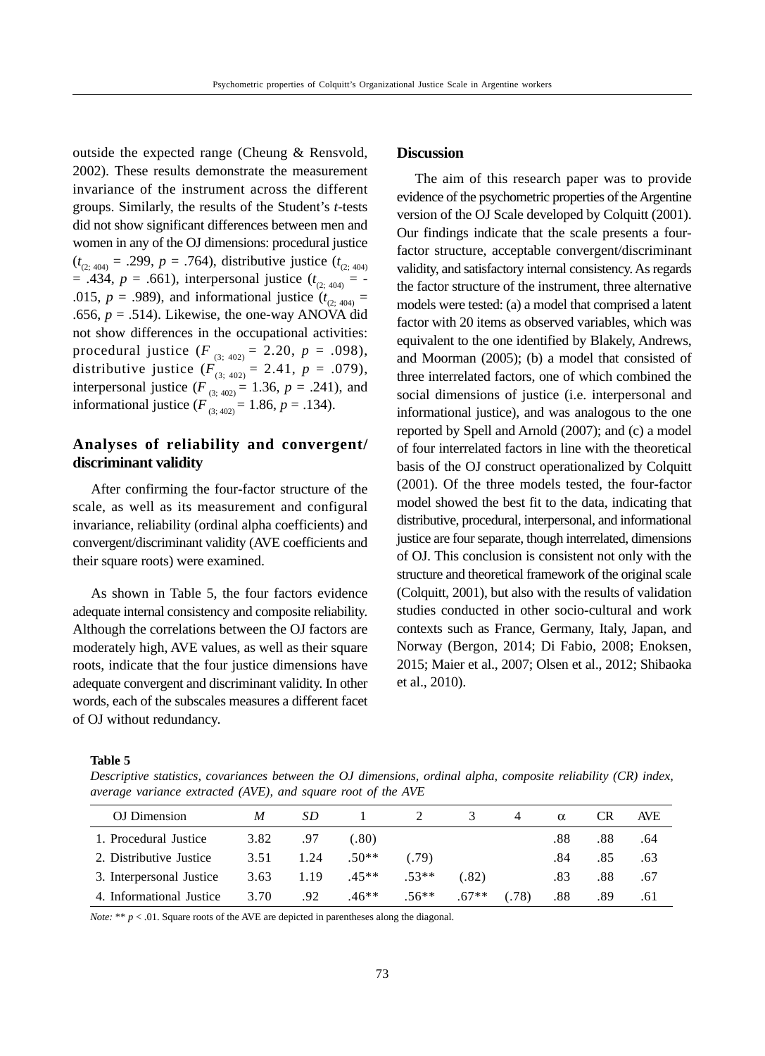outside the expected range (Cheung & Rensvold, 2002). These results demonstrate the measurement invariance of the instrument across the different groups. Similarly, the results of the Student's *t*-tests did not show significant differences between men and women in any of the OJ dimensions: procedural justice  $(t_{(2,404)} = .299, p = .764)$ , distributive justice  $(t_{(2,404)}$  $= .434, p = .661$ , interpersonal justice ( $t_{(2, 404)} = -$ .015,  $p = .989$ ), and informational justice ( $t_{(2,404)} =$ .656,  $p = .514$ ). Likewise, the one-way ANOVA did not show differences in the occupational activities: procedural justice  $(F_{(3;402)} = 2.20, p = .098)$ , distributive justice  $(F_{(3; 402)} = 2.41, p = .079)$ , interpersonal justice  $(F_{(3;402)} = 1.36, p = .241)$ , and informational justice  $(F_{(3:402)} = 1.86, p = .134)$ .

# **Analyses of reliability and convergent/ discriminant validity**

After confirming the four-factor structure of the scale, as well as its measurement and configural invariance, reliability (ordinal alpha coefficients) and convergent/discriminant validity (AVE coefficients and their square roots) were examined.

As shown in Table 5, the four factors evidence adequate internal consistency and composite reliability. Although the correlations between the OJ factors are moderately high, AVE values, as well as their square roots, indicate that the four justice dimensions have adequate convergent and discriminant validity. In other words, each of the subscales measures a different facet of OJ without redundancy.

# **Discussion**

The aim of this research paper was to provide evidence of the psychometric properties of the Argentine version of the OJ Scale developed by Colquitt (2001). Our findings indicate that the scale presents a fourfactor structure, acceptable convergent/discriminant validity, and satisfactory internal consistency. As regards the factor structure of the instrument, three alternative models were tested: (a) a model that comprised a latent factor with 20 items as observed variables, which was equivalent to the one identified by Blakely, Andrews, and Moorman (2005); (b) a model that consisted of three interrelated factors, one of which combined the social dimensions of justice (i.e. interpersonal and informational justice), and was analogous to the one reported by Spell and Arnold (2007); and (c) a model of four interrelated factors in line with the theoretical basis of the OJ construct operationalized by Colquitt (2001). Of the three models tested, the four-factor model showed the best fit to the data, indicating that distributive, procedural, interpersonal, and informational justice are four separate, though interrelated, dimensions of OJ. This conclusion is consistent not only with the structure and theoretical framework of the original scale (Colquitt, 2001), but also with the results of validation studies conducted in other socio-cultural and work contexts such as France, Germany, Italy, Japan, and Norway (Bergon, 2014; Di Fabio, 2008; Enoksen, 2015; Maier et al., 2007; Olsen et al., 2012; Shibaoka et al., 2010).

#### **Table 5**

*Descriptive statistics, covariances between the OJ dimensions, ordinal alpha, composite reliability (CR) index, average variance extracted (AVE), and square root of the AVE*

| OJ Dimension             | M    | SD.  |         |         | 3       | $\overline{4}$ | $\alpha$ | CR  | <b>AVE</b> |
|--------------------------|------|------|---------|---------|---------|----------------|----------|-----|------------|
| 1. Procedural Justice    | 3.82 | .97  | (.80)   |         |         |                | .88      | .88 | .64        |
| 2. Distributive Justice  | 3.51 | 1.24 | $.50**$ | (.79)   |         |                | .84      | .85 | .63        |
| 3. Interpersonal Justice | 3.63 | 1.19 | $.45**$ | $.53**$ | (82)    |                | .83      | .88 | .67        |
| 4. Informational Justice | 3.70 | .92  | $.46**$ | $.56**$ | $.67**$ | (0.78)         | .88      | .89 | .61        |

*Note:* \*\*  $p < .01$ . Square roots of the AVE are depicted in parentheses along the diagonal.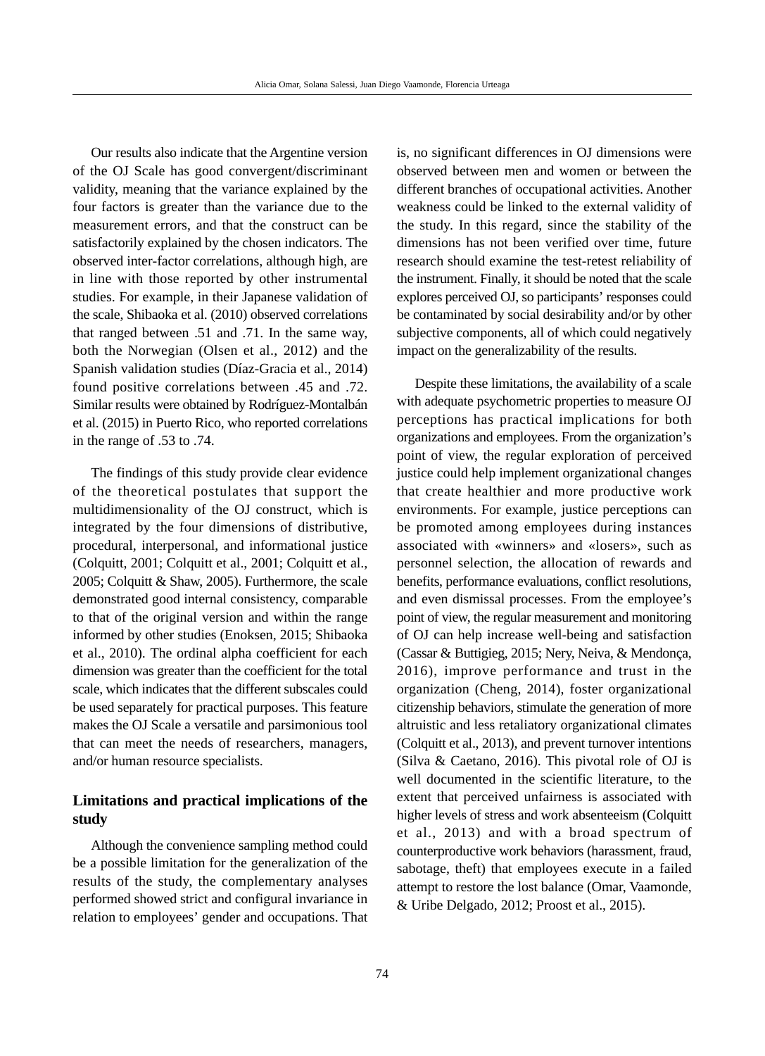Our results also indicate that the Argentine version of the OJ Scale has good convergent/discriminant validity, meaning that the variance explained by the four factors is greater than the variance due to the measurement errors, and that the construct can be satisfactorily explained by the chosen indicators. The observed inter-factor correlations, although high, are in line with those reported by other instrumental studies. For example, in their Japanese validation of the scale, Shibaoka et al. (2010) observed correlations that ranged between .51 and .71. In the same way, both the Norwegian (Olsen et al., 2012) and the Spanish validation studies (Díaz-Gracia et al., 2014) found positive correlations between .45 and .72. Similar results were obtained by Rodríguez-Montalbán et al. (2015) in Puerto Rico, who reported correlations in the range of .53 to .74.

The findings of this study provide clear evidence of the theoretical postulates that support the multidimensionality of the OJ construct, which is integrated by the four dimensions of distributive, procedural, interpersonal, and informational justice (Colquitt, 2001; Colquitt et al., 2001; Colquitt et al., 2005; Colquitt & Shaw, 2005). Furthermore, the scale demonstrated good internal consistency, comparable to that of the original version and within the range informed by other studies (Enoksen, 2015; Shibaoka et al., 2010). The ordinal alpha coefficient for each dimension was greater than the coefficient for the total scale, which indicates that the different subscales could be used separately for practical purposes. This feature makes the OJ Scale a versatile and parsimonious tool that can meet the needs of researchers, managers, and/or human resource specialists.

# **Limitations and practical implications of the study**

Although the convenience sampling method could be a possible limitation for the generalization of the results of the study, the complementary analyses performed showed strict and configural invariance in relation to employees' gender and occupations. That

is, no significant differences in OJ dimensions were observed between men and women or between the different branches of occupational activities. Another weakness could be linked to the external validity of the study. In this regard, since the stability of the dimensions has not been verified over time, future research should examine the test-retest reliability of the instrument. Finally, it should be noted that the scale explores perceived OJ, so participants' responses could be contaminated by social desirability and/or by other subjective components, all of which could negatively impact on the generalizability of the results.

Despite these limitations, the availability of a scale with adequate psychometric properties to measure OJ perceptions has practical implications for both organizations and employees. From the organization's point of view, the regular exploration of perceived justice could help implement organizational changes that create healthier and more productive work environments. For example, justice perceptions can be promoted among employees during instances associated with «winners» and «losers», such as personnel selection, the allocation of rewards and benefits, performance evaluations, conflict resolutions, and even dismissal processes. From the employee's point of view, the regular measurement and monitoring of OJ can help increase well-being and satisfaction (Cassar & Buttigieg, 2015; Nery, Neiva, & Mendonça, 2016), improve performance and trust in the organization (Cheng, 2014), foster organizational citizenship behaviors, stimulate the generation of more altruistic and less retaliatory organizational climates (Colquitt et al., 2013), and prevent turnover intentions (Silva & Caetano, 2016). This pivotal role of OJ is well documented in the scientific literature, to the extent that perceived unfairness is associated with higher levels of stress and work absenteeism (Colquitt et al., 2013) and with a broad spectrum of counterproductive work behaviors (harassment, fraud, sabotage, theft) that employees execute in a failed attempt to restore the lost balance (Omar, Vaamonde, & Uribe Delgado, 2012; Proost et al., 2015).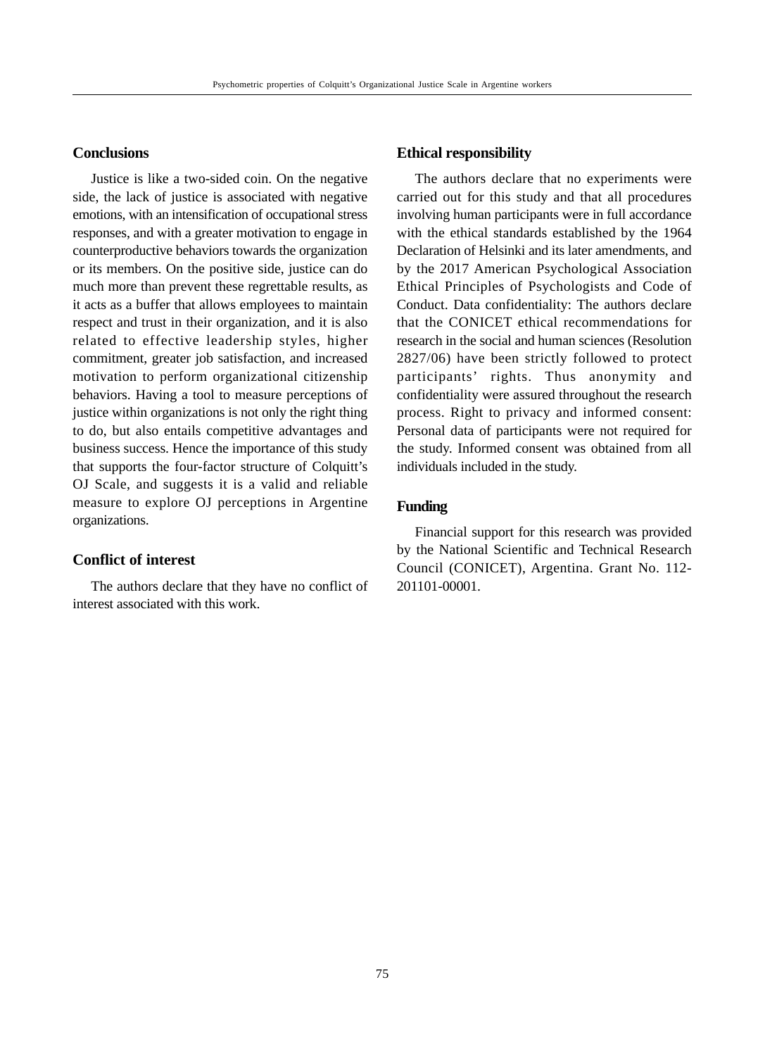# **Conclusions**

Justice is like a two-sided coin. On the negative side, the lack of justice is associated with negative emotions, with an intensification of occupational stress responses, and with a greater motivation to engage in counterproductive behaviors towards the organization or its members. On the positive side, justice can do much more than prevent these regrettable results, as it acts as a buffer that allows employees to maintain respect and trust in their organization, and it is also related to effective leadership styles, higher commitment, greater job satisfaction, and increased motivation to perform organizational citizenship behaviors. Having a tool to measure perceptions of justice within organizations is not only the right thing to do, but also entails competitive advantages and business success. Hence the importance of this study that supports the four-factor structure of Colquitt's OJ Scale, and suggests it is a valid and reliable measure to explore OJ perceptions in Argentine organizations.

# **Conflict of interest**

The authors declare that they have no conflict of interest associated with this work.

### **Ethical responsibility**

The authors declare that no experiments were carried out for this study and that all procedures involving human participants were in full accordance with the ethical standards established by the 1964 Declaration of Helsinki and its later amendments, and by the 2017 American Psychological Association Ethical Principles of Psychologists and Code of Conduct. Data confidentiality: The authors declare that the CONICET ethical recommendations for research in the social and human sciences (Resolution 2827/06) have been strictly followed to protect participants' rights. Thus anonymity and confidentiality were assured throughout the research process. Right to privacy and informed consent: Personal data of participants were not required for the study. Informed consent was obtained from all individuals included in the study.

# **Funding**

Financial support for this research was provided by the National Scientific and Technical Research Council (CONICET), Argentina. Grant No. 112- 201101-00001.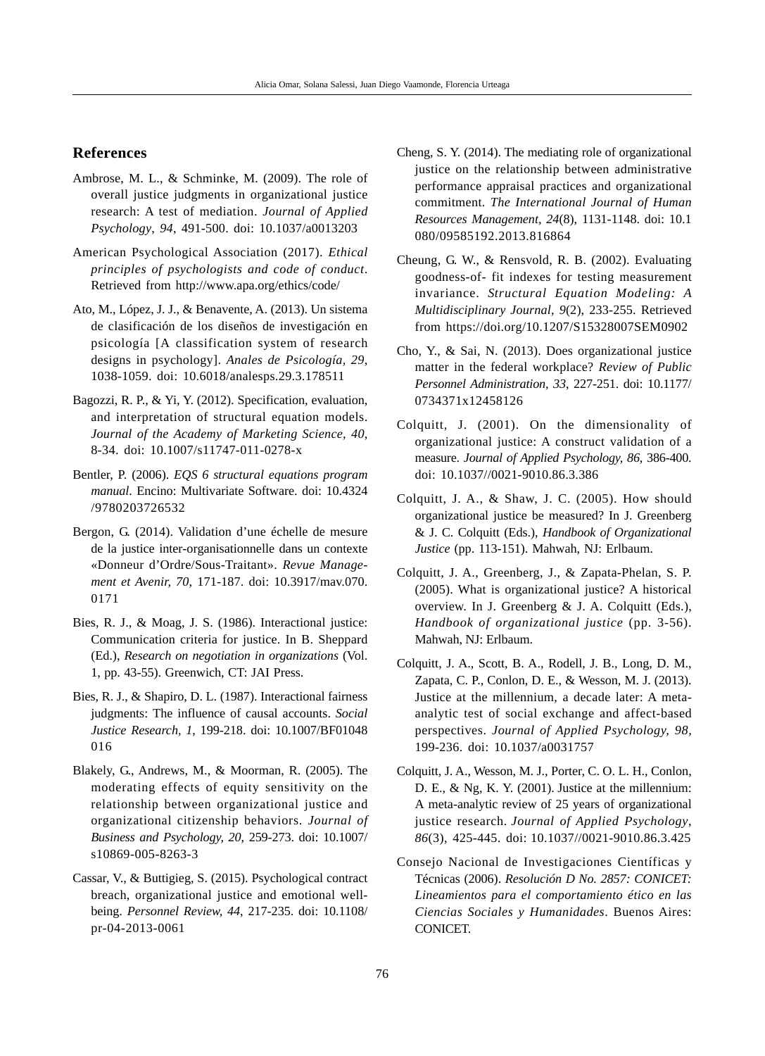# **References**

- Ambrose, M. L., & Schminke, M. (2009). The role of overall justice judgments in organizational justice research: A test of mediation. *Journal of Applied Psychology*, *94*, 491-500. doi: 10.1037/a0013203
- American Psychological Association (2017). *Ethical principles of psychologists and code of conduct*. Retrieved from http://www.apa.org/ethics/code/
- Ato, M., López, J. J., & Benavente, A. (2013). Un sistema de clasificación de los diseños de investigación en psicología [A classification system of research designs in psychology]. *Anales de Psicología, 29*, 1038-1059. doi: 10.6018/analesps.29.3.178511
- Bagozzi, R. P., & Yi, Y. (2012). Specification, evaluation, and interpretation of structural equation models. *Journal of the Academy of Marketing Science, 40*, 8-34. doi: 10.1007/s11747-011-0278-x
- Bentler, P. (2006). *EQS 6 structural equations program manual*. Encino: Multivariate Software. doi: 10.4324 /9780203726532
- Bergon, G. (2014). Validation d'une échelle de mesure de la justice inter-organisationnelle dans un contexte «Donneur d'Ordre/Sous-Traitant». *Revue Management et Avenir, 70*, 171-187. doi: 10.3917/mav.070. 0171
- Bies, R. J., & Moag, J. S. (1986). Interactional justice: Communication criteria for justice. In B. Sheppard (Ed.), *Research on negotiation in organizations* (Vol. 1, pp. 43-55). Greenwich, CT: JAI Press.
- Bies, R. J., & Shapiro, D. L. (1987). Interactional fairness judgments: The influence of causal accounts. *Social Justice Research, 1,* 199-218. doi: 10.1007/BF01048 016
- Blakely, G., Andrews, M., & Moorman, R. (2005). The moderating effects of equity sensitivity on the relationship between organizational justice and organizational citizenship behaviors. *Journal of Business and Psychology, 20*, 259-273. doi: 10.1007/ s10869-005-8263-3
- Cassar, V., & Buttigieg, S. (2015). Psychological contract breach, organizational justice and emotional wellbeing. *Personnel Review, 44*, 217-235. doi: 10.1108/ pr-04-2013-0061
- Cheng, S. Y. (2014). The mediating role of organizational justice on the relationship between administrative performance appraisal practices and organizational commitment. *The International Journal of Human Resources Management, 24*(8), 1131-1148. doi: 10.1 080/09585192.2013.816864
- Cheung, G. W., & Rensvold, R. B. (2002). Evaluating goodness-of- fit indexes for testing measurement invariance. *Structural Equation Modeling: A Multidisciplinary Journal, 9*(2), 233-255. Retrieved from https://doi.org/10.1207/S15328007SEM0902
- Cho, Y., & Sai, N. (2013). Does organizational justice matter in the federal workplace? *Review of Public Personnel Administration, 33*, 227-251. doi: 10.1177/ 0734371x12458126
- Colquitt, J. (2001). On the dimensionality of organizational justice: A construct validation of a measure. *Journal of Applied Psychology, 86*, 386-400. doi: 10.1037//0021-9010.86.3.386
- Colquitt, J. A., & Shaw, J. C. (2005). How should organizational justice be measured? In J. Greenberg & J. C. Colquitt (Eds.), *Handbook of Organizational Justice* (pp. 113-151). Mahwah, NJ: Erlbaum.
- Colquitt, J. A., Greenberg, J., & Zapata-Phelan, S. P. (2005). What is organizational justice? A historical overview. In J. Greenberg & J. A. Colquitt (Eds.), *Handbook of organizational justice* (pp. 3-56). Mahwah, NJ: Erlbaum.
- Colquitt, J. A., Scott, B. A., Rodell, J. B., Long, D. M., Zapata, C. P., Conlon, D. E., & Wesson, M. J. (2013). Justice at the millennium, a decade later: A metaanalytic test of social exchange and affect-based perspectives. *Journal of Applied Psychology, 98,* 199-236. doi: 10.1037/a0031757
- Colquitt, J. A., Wesson, M. J., Porter, C. O. L. H., Conlon, D. E., & Ng, K. Y. (2001). Justice at the millennium: A meta-analytic review of 25 years of organizational justice research. *Journal of Applied Psychology*, *86*(3), 425-445. doi: 10.1037//0021-9010.86.3.425
- Consejo Nacional de Investigaciones Científicas y Técnicas (2006). *Resolución D No. 2857: CONICET: Lineamientos para el comportamiento ético en las Ciencias Sociales y Humanidades*. Buenos Aires: CONICET.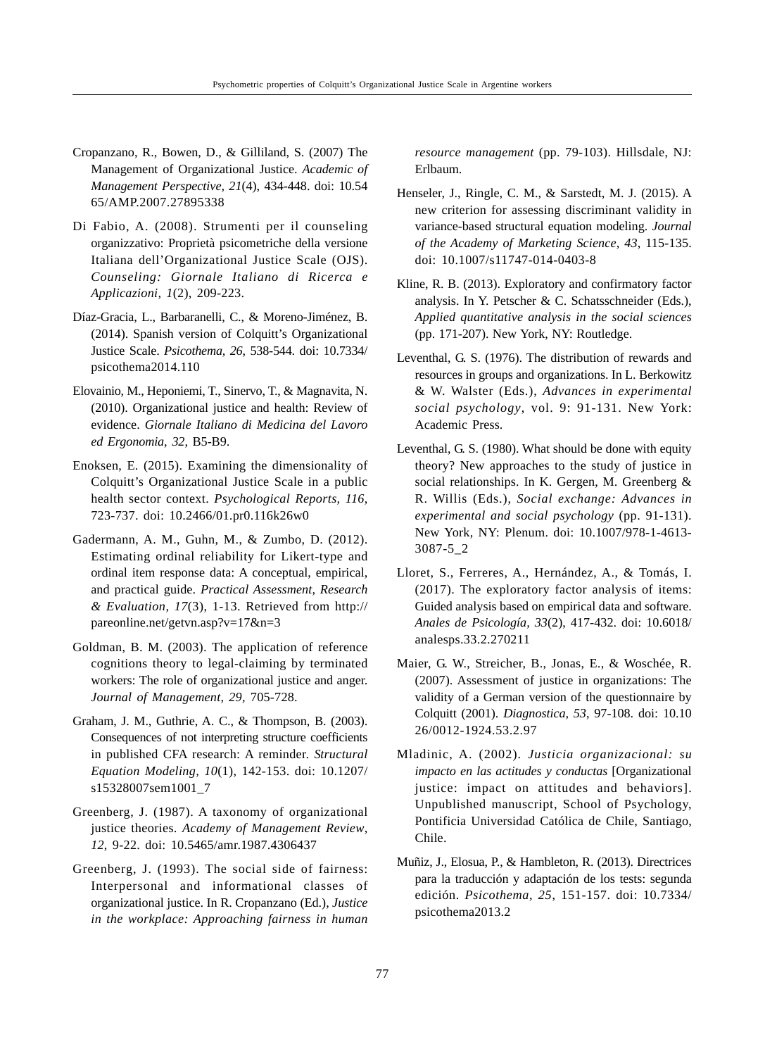- Cropanzano, R., Bowen, D., & Gilliland, S. (2007) The Management of Organizational Justice. *Academic of Management Perspective, 21*(4), 434-448. doi: 10.54 65/AMP.2007.27895338
- Di Fabio, A. (2008). Strumenti per il counseling organizzativo: Proprietà psicometriche della versione Italiana dell'Organizational Justice Scale (OJS). *Counseling: Giornale Italiano di Ricerca e Applicazioni, 1*(2), 209-223.
- Díaz-Gracia, L., Barbaranelli, C., & Moreno-Jiménez, B. (2014). Spanish version of Colquitt's Organizational Justice Scale. *Psicothema, 26*, 538-544. doi: 10.7334/ psicothema2014.110
- Elovainio, M., Heponiemi, T., Sinervo, T., & Magnavita, N. (2010). Organizational justice and health: Review of evidence. *Giornale Italiano di Medicina del Lavoro ed Ergonomia*, *32*, B5-B9.
- Enoksen, E. (2015). Examining the dimensionality of Colquitt's Organizational Justice Scale in a public health sector context. *Psychological Reports, 116*, 723-737. doi: 10.2466/01.pr0.116k26w0
- Gadermann, A. M., Guhn, M., & Zumbo, D. (2012). Estimating ordinal reliability for Likert-type and ordinal item response data: A conceptual, empirical, and practical guide. *Practical Assessment, Research & Evaluation, 17*(3), 1-13. Retrieved from http:// pareonline.net/getvn.asp?v=17&n=3
- Goldman, B. M. (2003). The application of reference cognitions theory to legal-claiming by terminated workers: The role of organizational justice and anger. *Journal of Management, 29,* 705-728.
- Graham, J. M., Guthrie, A. C., & Thompson, B. (2003). Consequences of not interpreting structure coefficients in published CFA research: A reminder. *Structural Equation Modeling, 10*(1), 142-153. doi: 10.1207/ s15328007sem1001\_7
- Greenberg, J. (1987). A taxonomy of organizational justice theories. *Academy of Management Review*, *12*, 9-22. doi: 10.5465/amr.1987.4306437
- Greenberg, J. (1993). The social side of fairness: Interpersonal and informational classes of organizational justice. In R. Cropanzano (Ed.), *Justice in the workplace: Approaching fairness in human*

*resource management* (pp. 79-103). Hillsdale, NJ: Erlbaum.

- Henseler, J., Ringle, C. M., & Sarstedt, M. J. (2015). A new criterion for assessing discriminant validity in variance-based structural equation modeling. *Journal of the Academy of Marketing Science, 43*, 115-135. doi: 10.1007/s11747-014-0403-8
- Kline, R. B. (2013). Exploratory and confirmatory factor analysis. In Y. Petscher & C. Schatsschneider (Eds.), *Applied quantitative analysis in the social sciences* (pp. 171-207). New York, NY: Routledge.
- Leventhal, G. S. (1976). The distribution of rewards and resources in groups and organizations. In L. Berkowitz & W. Walster (Eds.), *Advances in experimental social psychology*, vol. 9: 91-131. New York: Academic Press.
- Leventhal, G. S. (1980). What should be done with equity theory? New approaches to the study of justice in social relationships. In K. Gergen, M. Greenberg & R. Willis (Eds.), *Social exchange: Advances in experimental and social psychology* (pp. 91-131). New York, NY: Plenum. doi: 10.1007/978-1-4613- 3087-5\_2
- Lloret, S., Ferreres, A., Hernández, A., & Tomás, I. (2017). The exploratory factor analysis of items: Guided analysis based on empirical data and software. *Anales de Psicología, 33*(2), 417-432. doi: 10.6018/ analesps.33.2.270211
- Maier, G. W., Streicher, B., Jonas, E., & Woschée, R. (2007). Assessment of justice in organizations: The validity of a German version of the questionnaire by Colquitt (2001). *Diagnostica, 53*, 97-108. doi: 10.10 26/0012-1924.53.2.97
- Mladinic, A. (2002). *Justicia organizacional: su impacto en las actitudes y conductas* [Organizational justice: impact on attitudes and behaviors]. Unpublished manuscript, School of Psychology, Pontificia Universidad Católica de Chile, Santiago, Chile.
- Muñiz, J., Elosua, P., & Hambleton, R. (2013). Directrices para la traducción y adaptación de los tests: segunda edición. *Psicothema, 25*, 151-157. doi: 10.7334/ psicothema2013.2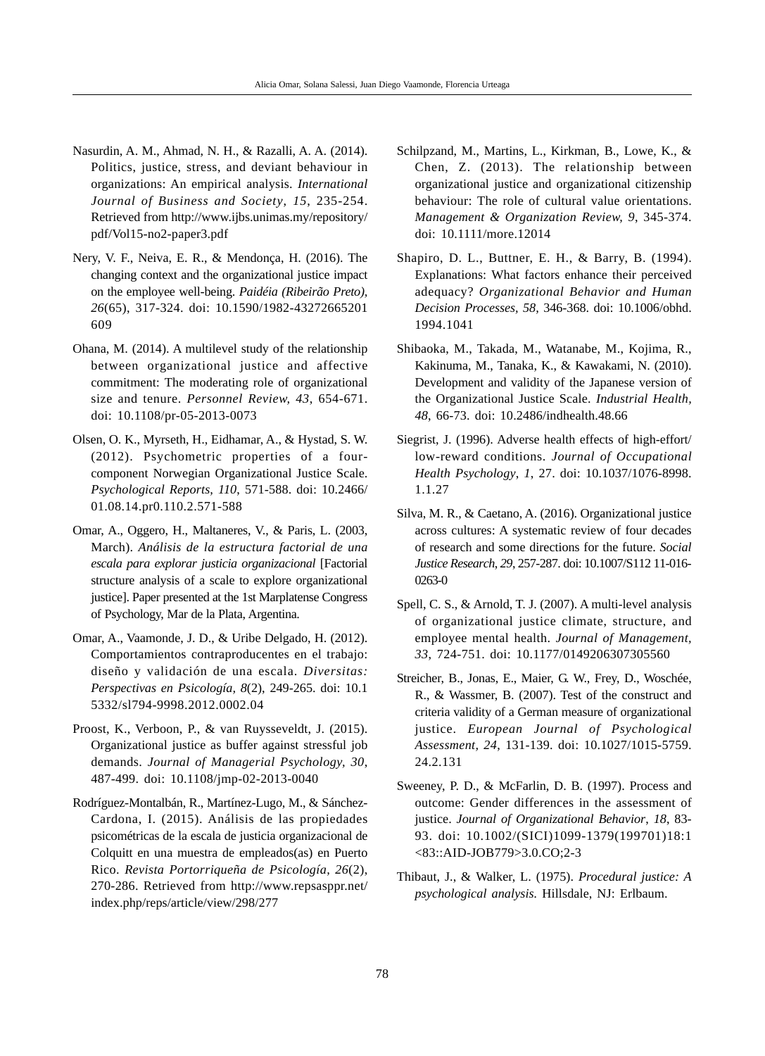- Nasurdin, A. M., Ahmad, N. H., & Razalli, A. A. (2014). Politics, justice, stress, and deviant behaviour in organizations: An empirical analysis. *International Journal of Business and Society*, *15*, 235-254. Retrieved from http://www.ijbs.unimas.my/repository/ pdf/Vol15-no2-paper3.pdf
- Nery, V. F., Neiva, E. R., & Mendonça, H. (2016). The changing context and the organizational justice impact on the employee well-being. *Paidéia (Ribeirão Preto), 26*(65), 317-324. doi: 10.1590/1982-43272665201 609
- Ohana, M. (2014). A multilevel study of the relationship between organizational justice and affective commitment: The moderating role of organizational size and tenure. *Personnel Review, 43*, 654-671. doi: 10.1108/pr-05-2013-0073
- Olsen, O. K., Myrseth, H., Eidhamar, A., & Hystad, S. W. (2012). Psychometric properties of a fourcomponent Norwegian Organizational Justice Scale. *Psychological Reports, 110*, 571-588. doi: 10.2466/ 01.08.14.pr0.110.2.571-588
- Omar, A., Oggero, H., Maltaneres, V., & Paris, L. (2003, March). *Análisis de la estructura factorial de una escala para explorar justicia organizacional* [Factorial structure analysis of a scale to explore organizational justice]. Paper presented at the 1st Marplatense Congress of Psychology, Mar de la Plata, Argentina.
- Omar, A., Vaamonde, J. D., & Uribe Delgado, H. (2012). Comportamientos contraproducentes en el trabajo: diseño y validación de una escala. *Diversitas: Perspectivas en Psicología, 8*(2), 249-265. doi: 10.1 5332/sl794-9998.2012.0002.04
- Proost, K., Verboon, P., & van Ruysseveldt, J. (2015). Organizational justice as buffer against stressful job demands. *Journal of Managerial Psychology, 30*, 487-499. doi: 10.1108/jmp-02-2013-0040
- Rodríguez-Montalbán, R., Martínez-Lugo, M., & Sánchez-Cardona, I. (2015). Análisis de las propiedades psicométricas de la escala de justicia organizacional de Colquitt en una muestra de empleados(as) en Puerto Rico. *Revista Portorriqueña de Psicología, 26*(2), 270-286. Retrieved from http://www.repsasppr.net/ index.php/reps/article/view/298/277
- Schilpzand, M., Martins, L., Kirkman, B., Lowe, K., & Chen, Z. (2013). The relationship between organizational justice and organizational citizenship behaviour: The role of cultural value orientations. *Management & Organization Review, 9*, 345-374. doi: 10.1111/more.12014
- Shapiro, D. L., Buttner, E. H., & Barry, B. (1994). Explanations: What factors enhance their perceived adequacy? *Organizational Behavior and Human Decision Processes, 58,* 346-368. doi: 10.1006/obhd. 1994.1041
- Shibaoka, M., Takada, M., Watanabe, M., Kojima, R., Kakinuma, M., Tanaka, K., & Kawakami, N. (2010). Development and validity of the Japanese version of the Organizational Justice Scale. *Industrial Health, 48*, 66-73. doi: 10.2486/indhealth.48.66
- Siegrist, J. (1996). Adverse health effects of high-effort/ low-reward conditions. *Journal of Occupational Health Psychology*, *1*, 27. doi: 10.1037/1076-8998. 1.1.27
- Silva, M. R., & Caetano, A. (2016). Organizational justice across cultures: A systematic review of four decades of research and some directions for the future. *Social Justice Research*, *29*, 257-287. doi: 10.1007/S112 11-016- 0263-0
- Spell, C. S., & Arnold, T. J. (2007). A multi-level analysis of organizational justice climate, structure, and employee mental health. *Journal of Management, 33*, 724-751. doi: 10.1177/0149206307305560
- Streicher, B., Jonas, E., Maier, G. W., Frey, D., Woschée, R., & Wassmer, B. (2007). Test of the construct and criteria validity of a German measure of organizational justice. *European Journal of Psychological Assessment, 24*, 131-139. doi: 10.1027/1015-5759. 24.2.131
- Sweeney, P. D., & McFarlin, D. B. (1997). Process and outcome: Gender differences in the assessment of justice. *Journal of Organizational Behavior*, *18*, 83- 93. doi: 10.1002/(SICI)1099-1379(199701)18:1 <83::AID-JOB779>3.0.CO;2-3
- Thibaut, J., & Walker, L. (1975). *Procedural justice: A psychological analysis.* Hillsdale, NJ: Erlbaum.